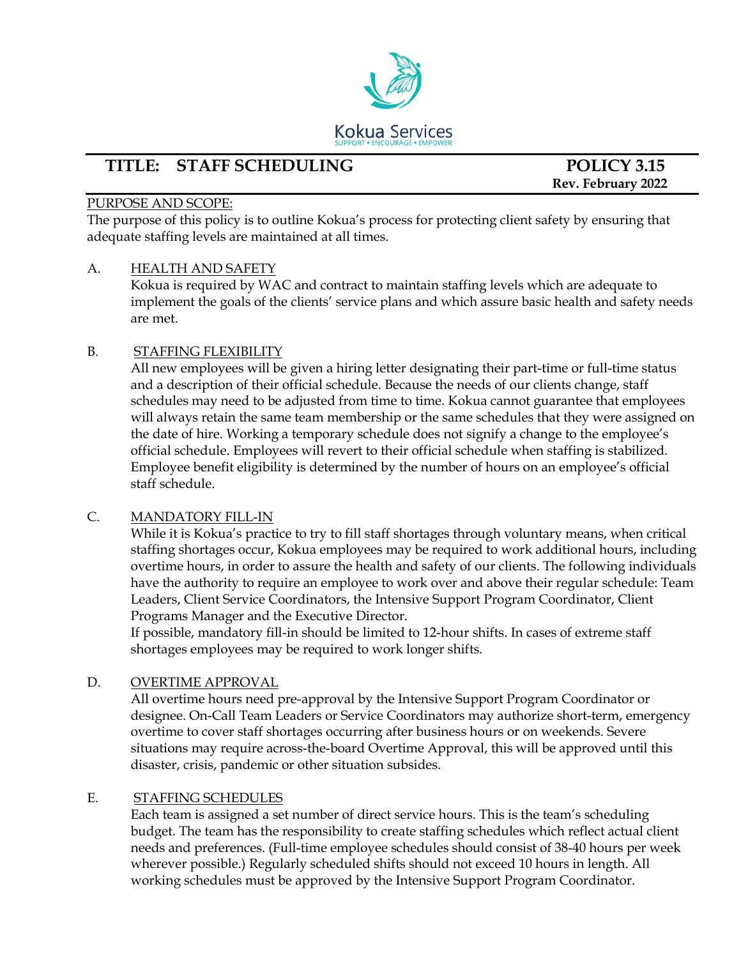

# **TITLE: STAFF SCHEDULING POLICY 3.15**

 **Rev. February 2022**

#### PURPOSE AND SCOPE:

The purpose of this policy is to outline Kokua's process for protecting client safety by ensuring that adequate staffing levels are maintained at all times.

## A. HEALTH AND SAFETY

Kokua is required by WAC and contract to maintain staffing levels which are adequate to implement the goals of the clients' service plans and which assure basic health and safety needs are met.

## B. STAFFING FLEXIBILITY

All new employees will be given a hiring letter designating their part-time or full-time status and a description of their official schedule. Because the needs of our clients change, staff schedules may need to be adjusted from time to time. Kokua cannot guarantee that employees will always retain the same team membership or the same schedules that they were assigned on the date of hire. Working a temporary schedule does not signify a change to the employee's official schedule. Employees will revert to their official schedule when staffing is stabilized. Employee benefit eligibility is determined by the number of hours on an employee's official staff schedule.

#### C. MANDATORY FILL-IN

While it is Kokua's practice to try to fill staff shortages through voluntary means, when critical staffing shortages occur, Kokua employees may be required to work additional hours, including overtime hours, in order to assure the health and safety of our clients. The following individuals have the authority to require an employee to work over and above their regular schedule: Team Leaders, Client Service Coordinators, the Intensive Support Program Coordinator, Client Programs Manager and the Executive Director.

If possible, mandatory fill-in should be limited to 12-hour shifts. In cases of extreme staff shortages employees may be required to work longer shifts.

# D. OVERTIME APPROVAL

All overtime hours need pre-approval by the Intensive Support Program Coordinator or designee. On-Call Team Leaders or Service Coordinators may authorize short-term, emergency overtime to cover staff shortages occurring after business hours or on weekends. Severe situations may require across-the-board Overtime Approval, this will be approved until this disaster, crisis, pandemic or other situation subsides.

#### E. STAFFING SCHEDULES

Each team is assigned a set number of direct service hours. This is the team's scheduling budget. The team has the responsibility to create staffing schedules which reflect actual client needs and preferences. (Full-time employee schedules should consist of 38-40 hours per week wherever possible.) Regularly scheduled shifts should not exceed 10 hours in length. All working schedules must be approved by the Intensive Support Program Coordinator.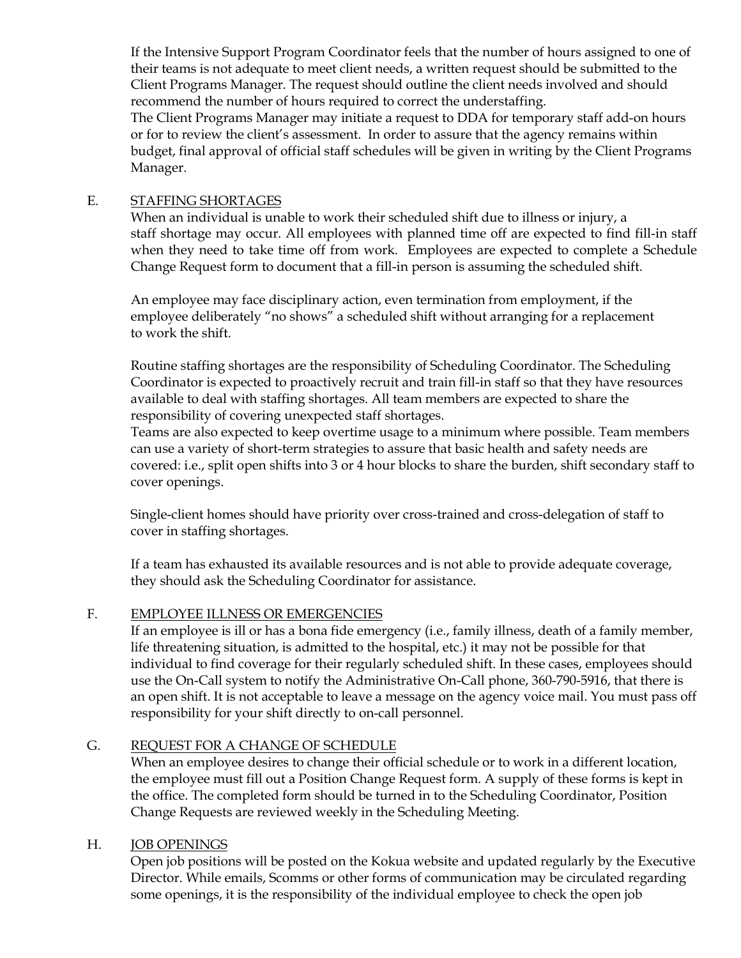If the Intensive Support Program Coordinator feels that the number of hours assigned to one of their teams is not adequate to meet client needs, a written request should be submitted to the Client Programs Manager. The request should outline the client needs involved and should recommend the number of hours required to correct the understaffing.

The Client Programs Manager may initiate a request to DDA for temporary staff add-on hours or for to review the client's assessment. In order to assure that the agency remains within budget, final approval of official staff schedules will be given in writing by the Client Programs Manager.

#### E. STAFFING SHORTAGES

When an individual is unable to work their scheduled shift due to illness or injury, a staff shortage may occur. All employees with planned time off are expected to find fill-in staff when they need to take time off from work. Employees are expected to complete a Schedule Change Request form to document that a fill-in person is assuming the scheduled shift.

An employee may face disciplinary action, even termination from employment, if the employee deliberately "no shows" a scheduled shift without arranging for a replacement to work the shift.

Routine staffing shortages are the responsibility of Scheduling Coordinator. The Scheduling Coordinator is expected to proactively recruit and train fill-in staff so that they have resources available to deal with staffing shortages. All team members are expected to share the responsibility of covering unexpected staff shortages.

Teams are also expected to keep overtime usage to a minimum where possible. Team members can use a variety of short-term strategies to assure that basic health and safety needs are covered: i.e., split open shifts into 3 or 4 hour blocks to share the burden, shift secondary staff to cover openings.

Single-client homes should have priority over cross-trained and cross-delegation of staff to cover in staffing shortages.

If a team has exhausted its available resources and is not able to provide adequate coverage, they should ask the Scheduling Coordinator for assistance.

#### F. EMPLOYEE ILLNESS OR EMERGENCIES

If an employee is ill or has a bona fide emergency (i.e., family illness, death of a family member, life threatening situation, is admitted to the hospital, etc.) it may not be possible for that individual to find coverage for their regularly scheduled shift. In these cases, employees should use the On-Call system to notify the Administrative On-Call phone, 360-790-5916, that there is an open shift. It is not acceptable to leave a message on the agency voice mail. You must pass off responsibility for your shift directly to on-call personnel.

# G. REQUEST FOR A CHANGE OF SCHEDULE

When an employee desires to change their official schedule or to work in a different location, the employee must fill out a Position Change Request form. A supply of these forms is kept in the office. The completed form should be turned in to the Scheduling Coordinator, Position Change Requests are reviewed weekly in the Scheduling Meeting.

#### H. JOB OPENINGS

Open job positions will be posted on the Kokua website and updated regularly by the Executive Director. While emails, Scomms or other forms of communication may be circulated regarding some openings, it is the responsibility of the individual employee to check the open job